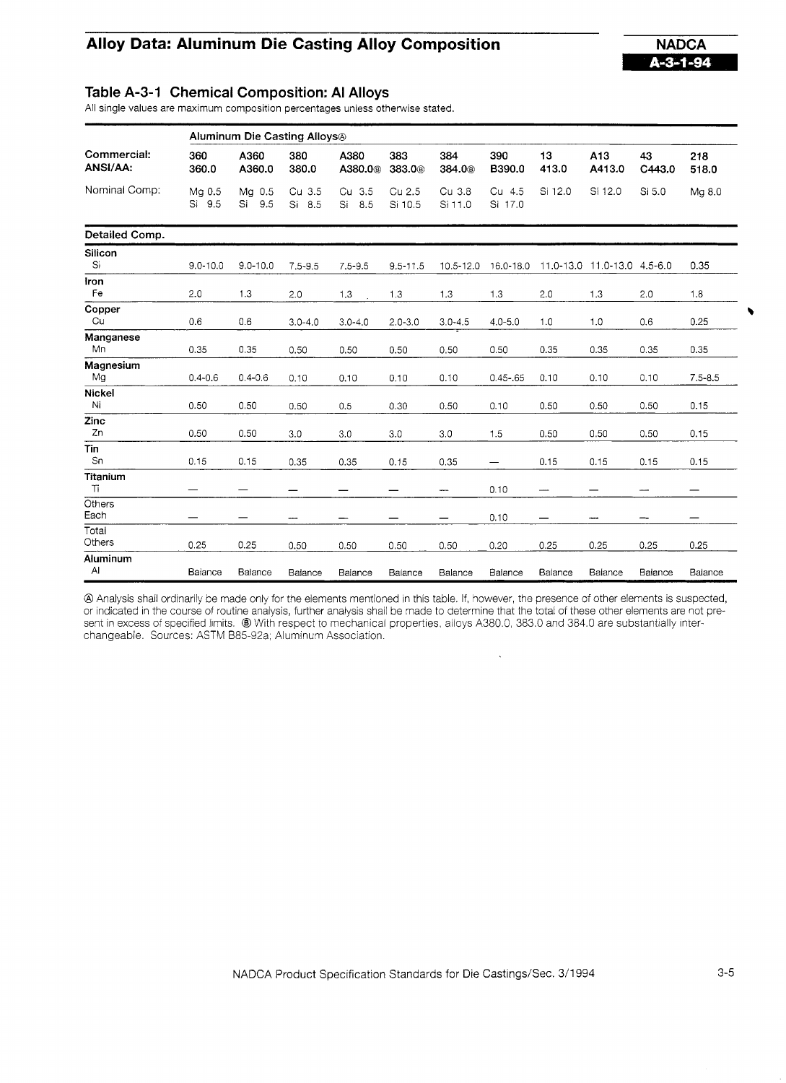## **Alloy Data: Aluminum Die Casting Alloy Composition MADCA NADCA**



### **Table A-3-1 Chemical Composition: Al Alloys**

All single values are maximum composition percentages unless otherwise stated.

|                         | Aluminum Die Casting Alloys <sup>®</sup> |                     |                     |                             |                           |                                |                   |                                |                             |                          |              |  |
|-------------------------|------------------------------------------|---------------------|---------------------|-----------------------------|---------------------------|--------------------------------|-------------------|--------------------------------|-----------------------------|--------------------------|--------------|--|
| Commercial:<br>ANSI/AA: | 360<br>360.0                             | A360<br>A360.0      | 380<br>380.0        | A380<br>A380.0 <sup>®</sup> | 383<br>383.0 <sup>®</sup> | 384<br>384.0 <sup>®</sup>      | 390<br>B390.0     | 13<br>413.0                    | A13<br>A413.0               | 43<br>C443.0             | 218<br>518.0 |  |
| Nominal Comp:           | Mg 0.5<br>Si 9.5                         | Mg 0.5<br>Si<br>9.5 | Cu 3.5<br>Si<br>8.5 | Cu 3.5<br>8.5<br>Si         | Cu 2.5<br>Si 10.5         | Cu 3.8<br>Si 11.0              | Cu 4.5<br>Si 17.0 | Si 12.0                        | Si 12.0                     | Si 5.0                   | Mg 8.0       |  |
| Detailed Comp.          |                                          |                     |                     |                             |                           |                                |                   |                                |                             |                          |              |  |
| <b>Silicon</b><br>Si    | $9.0 - 10.0$                             | $9.0 - 10.0$        | $7.5 - 9.5$         | $7.5 - 9.5$                 | $9.5 - 11.5$              | 10.5-12.0                      | 16.0-18.0         |                                | 11.0-13.0 11.0-13.0 4.5-6.0 |                          | 0.35         |  |
| Iron<br>Fe              | 2.0                                      | 1.3                 | 2.0                 | 1.3                         | 1.3                       | 1.3                            | 1.3               | 2.0                            | 1.3                         | 2.0                      | 1.8          |  |
| Copper<br>Cu            | 0.6                                      | 0.6                 | $3.0 - 4.0$         | $3.0 - 4.0$                 | $2.0 - 3.0$               | $3.0 - 4.5$                    | $4.0 - 5.0$       | 1.0                            | 1.0                         | 0.6                      | 0.25         |  |
| Manganese<br>Mn         | 0.35                                     | 0.35                | 0.50                | 0.50                        | 0.50                      | 0.50                           | 0.50              | 0.35                           | 0.35                        | 0.35                     | 0.35         |  |
| Magnesium<br>Mg         | $0.4 - 0.6$                              | $0.4 - 0.6$         | 0.10                | 0.10                        | 0.10                      | 0.10                           | $0.45 - 65$       | 0.10                           | 0.10                        | 0.10                     | $7.5 - 8.5$  |  |
| Nickel<br>$\mathsf{N}$  | 0.50                                     | 0.50                | 0.50                | 0.5                         | 0.30                      | 0.50                           | 0.10              | 0.50                           | 0.50                        | 0.50                     | 0.15         |  |
| Zinc<br>Zn              | 0.50                                     | 0.50                | 3.0                 | 3.0                         | 3.0                       | 3.0                            | 1.5               | 0.50                           | 0.50                        | 0.50                     | 0.15         |  |
| Tin<br>Sn               | 0.15                                     | 0.15                | 0.35                | 0.35                        | 0.15                      | 0.35                           | —                 | 0.15                           | 0.15                        | 0.15                     | 0.15         |  |
| Titanium<br>Ti          |                                          |                     |                     | —                           |                           | -                              | 0.10              | ——                             |                             | $\overline{\phantom{a}}$ |              |  |
| Others<br>Each          |                                          |                     | مسد                 | $\hspace{0.05cm}$           | —                         | $\qquad \qquad \longleftarrow$ | 0.10              | $\qquad \qquad \longleftarrow$ | ---                         | --                       |              |  |
| Total<br>Others         | 0.25                                     | 0.25                | 0.50                | 0.50                        | 0.50                      | 0.50                           | 0.20              | 0.25                           | 0.25                        | 0.25                     | 0.25         |  |
| Aluminum<br>Al          | Balance                                  | Balance             | Balance             | Balance                     | Balance                   | Balance                        | Balance           | Balance                        | Balance                     | Balance                  | Balance      |  |

@Analysis shall ordinarily be made only for the elements mentioned in this table. If, however, the presence of other elements is suspected, or indicated in the course of routine analysis, further analysis shall be made to determine that the total of these other elements are not present in excess of specified limits. <sup>@</sup> With respect to mechanical properties, alloys A380.0, 383.0 and 384.0 are substantially interchangeable. Sources: ASTM 885-92a; Aluminum Association.

 $\ddot{\phantom{a}}$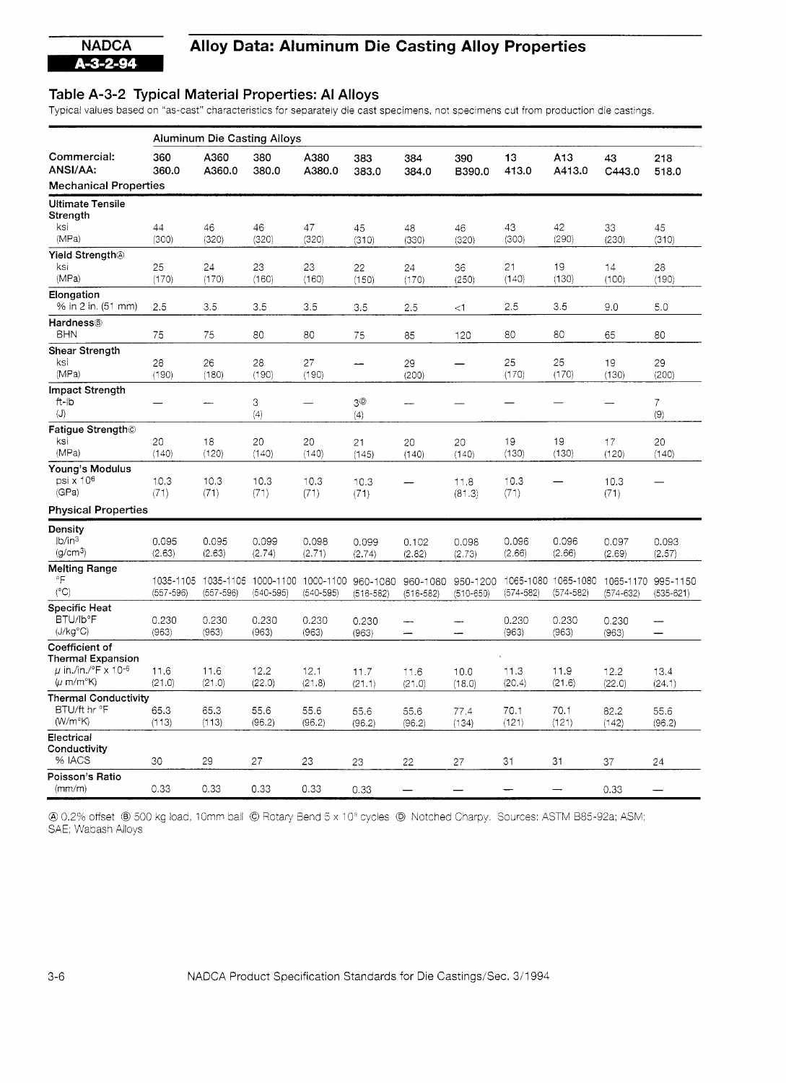# **NADCA** Alloy Data: Aluminum Die Casting Alloy Properties

### **Table A-3-2 Typical Material Properties: Al Alloys**

Typical values based on "as-cast" characteristics for separately die cast specimens, not specimens cut from production die castings.

|                                                                                   | <b>Aluminum Die Casting Alloys</b> |                 |                                      |                                     |                      |                           |                           |                 |                                      |                 |                                     |  |
|-----------------------------------------------------------------------------------|------------------------------------|-----------------|--------------------------------------|-------------------------------------|----------------------|---------------------------|---------------------------|-----------------|--------------------------------------|-----------------|-------------------------------------|--|
| Commercial:<br>ANSI/AA:                                                           | 360<br>360,0                       | A360<br>A360.0  | 380<br>380.0                         | A380<br>A380.0                      | 383<br>383.0         | 384<br>384.0              | 390<br>B390.0             | 13<br>413.0     | A <sub>13</sub><br>A413.0            | 43<br>C443.0    | 218<br>518.0                        |  |
| <b>Mechanical Properties</b>                                                      |                                    |                 |                                      |                                     |                      |                           |                           |                 |                                      |                 |                                     |  |
| <b>Ultimate Tensile</b><br>Strength                                               |                                    |                 |                                      |                                     |                      |                           |                           |                 |                                      |                 |                                     |  |
| ksi<br>(MPa)                                                                      | 44<br>(300)                        | 46<br>(320)     | 46<br>(320)                          | 47<br>(320)                         | 45<br>(310)          | 48<br>(330)               | 46<br>(320)               | 43<br>(300)     | 42<br>(290)                          | 33<br>(230)     | 45<br>(310)                         |  |
| Yield Strength <sup>®</sup><br>ksi<br>(MPa)                                       | 25<br>(170)                        | 24<br>(170)     | 23<br>(160)                          | 23<br>(160)                         | 22<br>(150)          | 24<br>(170)               | 36<br>(250)               | 21<br>(140)     | 19<br>(130)                          | 14<br>(100)     | 28<br>(190)                         |  |
| Elongation<br>% in 2 in. (51 mm)                                                  | 2.5                                | 3.5             | 3.5                                  | 3.5                                 | 3.5                  | 2.5                       | $\leq$ 1                  | 2.5             | 3.5                                  | 9.0             | 5.0                                 |  |
| <b>Hardness®</b><br><b>BHN</b>                                                    | 75                                 | 75              | 80                                   | 80                                  | 75                   | 85                        | 120                       | 80              | 80                                   | 65              | 80                                  |  |
| Shear Strength                                                                    |                                    |                 |                                      |                                     |                      |                           |                           |                 |                                      |                 |                                     |  |
| ksi<br>(MPa)                                                                      | 28<br>(190)                        | 26<br>(180)     | 28<br>(190)                          | 27<br>(190)                         |                      | 29<br>(200)               |                           | 25<br>(170)     | 25<br>(170)                          | 19<br>(130)     | 29<br>(200)                         |  |
| Impact Strength<br>ft-ib<br>$\langle J \rangle$                                   |                                    | ----            | 3<br>(4)                             |                                     | $3^\circledR$<br>(4) |                           |                           |                 |                                      |                 | $\overline{7}$<br>(9)               |  |
| Fatigue Strength©<br>ksi<br>(MPa)                                                 | 20                                 | 18              | 20                                   | 20                                  | 21                   | 20                        | 20                        | 19              | 19<br>(130)                          | 17              | 20                                  |  |
|                                                                                   | (140)                              | (120)           | (140)                                | (140)                               | (145)                | (140)                     | (140)                     | (130)           |                                      | (120)           | (140)                               |  |
| Young's Modulus<br>$psi \times 10^6$<br>(GPa)                                     | 10.3<br>(71)                       | 10.3<br>(71)    | 10.3<br>(71)                         | 10.3<br>(71)                        | 10.3<br>(71)         |                           | 11.8<br>(81.3)            | 10.3<br>(71)    |                                      | 10.3<br>(71)    |                                     |  |
| <b>Physical Properties</b>                                                        |                                    |                 |                                      |                                     |                      |                           |                           |                 |                                      |                 |                                     |  |
| Density                                                                           |                                    |                 |                                      |                                     |                      |                           |                           |                 |                                      |                 |                                     |  |
| lb/in <sup>3</sup><br>(g/cm <sup>3</sup> )                                        | 0.095<br>(2.63)                    | 0.095<br>(2.63) | 0.099<br>(2.74)                      | 0.098<br>(2.71)                     | 0.099<br>(2.74)      | 0.102<br>(2.82)           | 0.098<br>(2.73)           | 0.096<br>(2.66) | 0.096<br>(2.66)                      | 0.097<br>(2.69) | 0.093<br>(2.57)                     |  |
| <b>Melting Range</b><br>°F<br>$(^{\circ}C)$                                       | 1035-1105<br>$(557 - 596)$         | $(557 - 596)$   | 1035-1105 1000-1100<br>$(540 - 595)$ | 1000-1100 960-1080<br>$(540 - 595)$ | $(516 - 582)$        | 960-1080<br>$(516 - 582)$ | 950-1200<br>$(510 - 650)$ | $(574 - 582)$   | 1065-1080 1065-1080<br>$(574 - 582)$ | $(574 - 632)$   | 1065-1170 995-1150<br>$(535 - 621)$ |  |
| <b>Specific Heat</b>                                                              |                                    |                 |                                      |                                     |                      |                           |                           |                 |                                      |                 |                                     |  |
| BTU/Ib°F<br>(J/kg <sup>°</sup> C)                                                 | 0.230<br>(963)                     | 0.230<br>(963)  | 0.230<br>(963)                       | 0.230<br>(963)                      | 0.230<br>(963)       | --                        | $\overline{\phantom{0}}$  | 0.230<br>(963)  | 0.230<br>(963)                       | 0.230<br>(963)  | $\overline{\phantom{0}}$            |  |
| Coefficient of<br><b>Thermal Expansion</b>                                        |                                    |                 |                                      |                                     |                      |                           |                           |                 |                                      |                 |                                     |  |
| $\mu$ in /in / $\degree$ F x 10- $\degree$<br>$(\mu \text{ m/m}^{\circ}\text{K})$ | 11.6<br>(21.0)                     | 11.6<br>(21.0)  | 12.2<br>(22.0)                       | 12.1<br>(21.8)                      | 11.7<br>(21.1)       | 11.6<br>(21.0)            | 10.0<br>(18.0)            | 11.3<br>(20.4)  | 11.9<br>(21.6)                       | 12.2<br>(22.0)  | 13.4<br>(24.1)                      |  |
| <b>Thermal Conductivity</b><br>BTU/ft hr °F<br>(W/m <sup>o</sup> K)               | 65.3<br>(113)                      | 65.3<br>(113)   | 55.6<br>(96.2)                       | 55.6<br>(96.2)                      | 55.6<br>(96.2)       | 55.6<br>(96.2)            | 77.4<br>(134)             | 70.1<br>(121)   | 70.1<br>(121)                        | 82.2<br>(142)   | 55.6<br>(96.2)                      |  |
| Electrical<br>Conductivity<br>% IACS                                              | 30                                 | 29              | 27                                   | 23                                  | 23                   | 22                        | 27                        | 31              | 31                                   | 37              | 24                                  |  |
| Poisson's Ratio<br>(mm/m)                                                         | 0.33                               | 0.33            | 0.33                                 | 0.33                                | 0.33                 |                           |                           |                 |                                      | 0.33            |                                     |  |

@ 0.2% offset @ 500 kg load, 1 Omm ball O Rotaiy Bend 5 x 1 O3 cycles 0 Notched Charpy. Sources: ASTM B85-92a; ASM, SAE; Wabash Allovs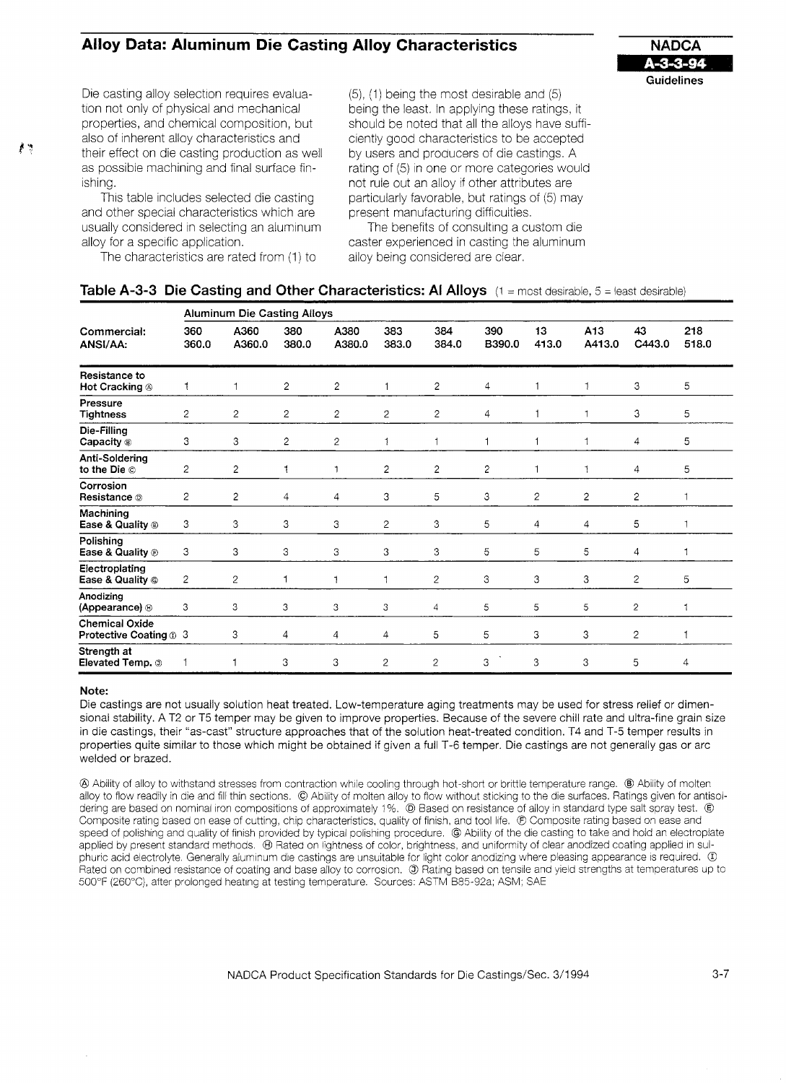# **Alloy Data: Aluminum Die Casting Alloy Characteristics ANADCA**



Die casting alloy selection requires evaluation not only of physical and mechanical properties, and chemical composition, but also of inherent alloy characteristics and **P** as possible machining and final surface finishing.

> This table includes selected die casting and other special characteristics which are usually considered in selecting an aluminum alloy for a specific application.

The characteristics are rated from (1) to

(5), (1) bemg the most desirable and (5) being the least. In applying these ratings, it should be noted that all the alloys have sufficiently good characteristics to be accepted by users and producers of die castings. A rating of (5) in one or more categories would not rule out an alloy if other attributes are particularly favorable, but ratings of (5) may present manufacturing difficulties.

The benefits of consulting a custom die caster experienced in casting the aluminum alloy being considered are clear.

| Table A-3-3 Die Casting and Other Characteristics: Al Alloys $(1 = \text{most desirable}, 5 = \text{least desirable})$ |  |
|------------------------------------------------------------------------------------------------------------------------|--|
|------------------------------------------------------------------------------------------------------------------------|--|

|                                                 | <b>Aluminum Die Casting Alloys</b> |                |                |                |                |                |                |                |                |                |              |  |
|-------------------------------------------------|------------------------------------|----------------|----------------|----------------|----------------|----------------|----------------|----------------|----------------|----------------|--------------|--|
| Commercial:<br>ANSI/AA:                         | 360<br>360.0                       | A360<br>A360.0 | 380<br>380.0   | A380<br>A380.0 | 383<br>383.0   | 384<br>384.0   | 390<br>B390.0  | 13<br>413.0    | A13<br>A413.0  | 43<br>C443.0   | 218<br>518.0 |  |
| Resistance to<br>Hot Cracking <sup>®</sup>      |                                    | 1              | $\overline{2}$ | $\overline{2}$ | 1              | $\overline{c}$ | 4              |                | 1              | 3              | 5            |  |
| Pressure<br><b>Tightness</b>                    | $\overline{c}$                     | $\overline{2}$ | $\overline{2}$ | 2              | $\overline{2}$ | $\overline{c}$ | 4              |                | 1              | 3              | 5            |  |
| Die-Filling<br>Capacity ®                       | 3                                  | 3              | $\overline{2}$ | $\overline{2}$ | 1              | $\mathbf 1$    | $\mathbf 1$    |                | 1              | $\overline{4}$ | 5            |  |
| Anti-Soldering<br>to the Die ©                  | $\overline{c}$                     | 2              |                | 1              | $\overline{2}$ | $\overline{c}$ | $\overline{c}$ | 1              |                | 4              | 5            |  |
| Corrosion<br>Resistance <sup>®</sup>            | $\overline{c}$                     | $\overline{2}$ | 4              | 4              | 3              | 5              | 3              | $\overline{2}$ | $\overline{2}$ | $\overline{c}$ | 1            |  |
| Machining<br>Ease & Quality <sup>®</sup>        | 3                                  | 3              | 3              | 3              | $\overline{2}$ | 3              | 5              | 4              | 4              | 5              | 1            |  |
| Polishing<br>Ease & Quality $\odot$             | 3                                  | 3              | 3              | 3              | 3              | З              | 5              | 5              | 5              | 4              | 1            |  |
| Electroplating<br>Ease & Quality <sup>®</sup>   | $\overline{2}$                     | $\overline{2}$ | 1              | $\mathbf{1}$   | 1              | $\overline{c}$ | 3              | 3              | 3              | $\overline{c}$ | 5            |  |
| Anodizing<br>(Appearance) <sup>®</sup>          | 3                                  | 3              | 3              | 3              | 3              | 4              | 5              | 5              | 5              | $\overline{c}$ | 1            |  |
| <b>Chemical Oxide</b><br>Protective Coating 1 3 |                                    | 3              | 4              | 4              | 4              | 5              | 5              | 3              | 3              | $\overline{2}$ | $\mathbf{1}$ |  |
| Strength at<br>Elevated Temp. to                |                                    |                | 3              | 3              | 2              | $\overline{2}$ | 3              | 3              | 3              | 5              | 4            |  |

#### **Note:**

Die castings are not usually solution heat treated. Low-temperature aging treatments may be used for stress relief or dimensional stability. A T2 or T5 temper may be given to improve properties. Because of the severe chill rate and ultra-fine grain size in die castings, their "as-cast" structure approaches that of the solution heat-treated condition. T4 and T-5 temper results in properties quite similar to those which might be obtained if given a full T-6 temper. Die castings are not generally gas or arc welded or brazed.

@ Ability of alloy to withstand stresses from contraction while cooling through hot-short or brittle temperature range. ® Ability of molten alloy to flow readily in die and fill thin sections. © Ability of molten alloy to flow without sticking to the die surfaces. Ratings given for antisoldering are based on nominal iron compositions of approximately 1%. @ Based on resistance of alloy in standard type salt spray test. © Composite rating based on ease of cutting, chip characteristics, quality of finish, and tool life.  $©$  Composite rating based on ease and speed of polishing and quality of finish provided by typical polishing procedure. @ Ability of the die casting to take and hold an electroplate applied by present standard methods.  $\oplus$  Rated on lightness of color, brightness, and uniformity of clear anodized coating applied in sulphuric acid electrolyte. Generally aluminum die castings are unsuitable for light color anodizing where pleasing appearance is required.  $\Phi$ Rated on combined resistance of coating and base alloy to corrosion. @ Rating based on tenslie and yield strengths at temperatures up to 500°F (260°C), after prolonged heating at testing temperature. Sources: ASTM B85-92a; ASM; SAE